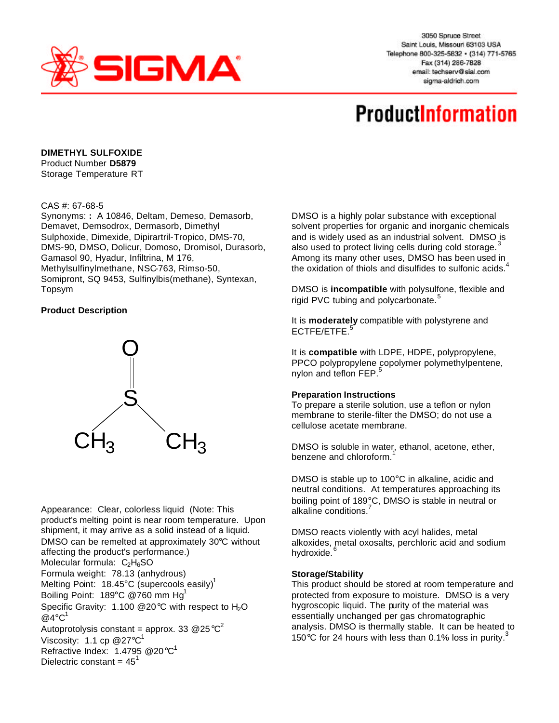

3050 Spruce Street Saint Louis, Missouri 63103 USA Telephone 800-325-5832 · (314) 771-5765 Fax (314) 286-7828 email: techserv@sial.com sigma-aldrich.com

# **ProductInformation**

## **DIMETHYL SULFOXIDE**

Product Number **D5879**  Storage Temperature RT

### CAS #: 67-68-5

Synonyms: **:** A 10846, Deltam, Demeso, Demasorb, Demavet, Demsodrox, Dermasorb, Dimethyl Sulphoxide, Dimexide, Dipirartril-Tropico, DMS-70, DMS-90, DMSO, Dolicur, Domoso, Dromisol, Durasorb, Gamasol 90, Hyadur, Infiltrina, M 176, Methylsulfinylmethane, NSC-763, Rimso-50, Somipront, SQ 9453, Sulfinylbis(methane), Syntexan, Topsym

### **Product Description**



Appearance: Clear, colorless liquid (Note: This product's melting point is near room temperature. Upon shipment, it may arrive as a solid instead of a liquid. DMSO can be remelted at approximately 30°C without affecting the product's performance.) Molecular formula:  $C_2H_6SO$ Formula weight: 78.13 (anhydrous) Melting Point: 18.45 $^{\circ}$ C (supercools easily)<sup>1</sup> Boiling Point:  $189^{\circ}$ C @760 mm Hg<sup>1</sup> Specific Gravity: 1.100  $@20^{\circ}$ C with respect to H<sub>2</sub>O  $Q$ 4°C<sup>1</sup> Autoprotolysis constant = approx. 33 @25 $^{\circ}$ C $^{2}$ Viscosity: 1.1 cp  $@27^{\circ} \text{C}^{1}$ Refractive Index: 1.4795 @20°C<sup>1</sup> Dielectric constant =  $45<sup>1</sup>$ 

DMSO is a highly polar substance with exceptional solvent properties for organic and inorganic chemicals and is widely used as an industrial solvent. DMSO is also used to protect living cells during cold storage.<sup>3</sup> Among its many other uses, DMSO has been used in the oxidation of thiols and disulfides to sulfonic acids. $4$ 

DMSO is **incompatible** with polysulfone, flexible and rigid PVC tubing and polycarbonate.<sup>5</sup>

It is **moderately** compatible with polystyrene and ECTFE/ETFE.<sup>5</sup>

It is **compatible** with LDPE, HDPE, polypropylene, PPCO polypropylene copolymer polymethylpentene, nylon and teflon FEP.<sup>5</sup>

#### **Preparation Instructions**

To prepare a sterile solution, use a teflon or nylon membrane to sterile-filter the DMSO; do not use a cellulose acetate membrane.

DMSO is soluble in water, ethanol, acetone, ether, benzene and chloroform.

DMSO is stable up to 100°C in alkaline, acidic and neutral conditions. At temperatures approaching its boiling point of 189°C, DMSO is stable in neutral or alkaline conditions.<sup>7</sup>

DMSO reacts violently with acyl halides, metal alkoxides, metal oxosalts, perchloric acid and sodium hydroxide.<sup>6</sup>

#### **Storage/Stability**

This product should be stored at room temperature and protected from exposure to moisture. DMSO is a very hygroscopic liquid. The purity of the material was essentially unchanged per gas chromatographic analysis. DMSO is thermally stable. It can be heated to 150 $\degree$ C for 24 hours with less than 0.1% loss in purity.<sup>3</sup>